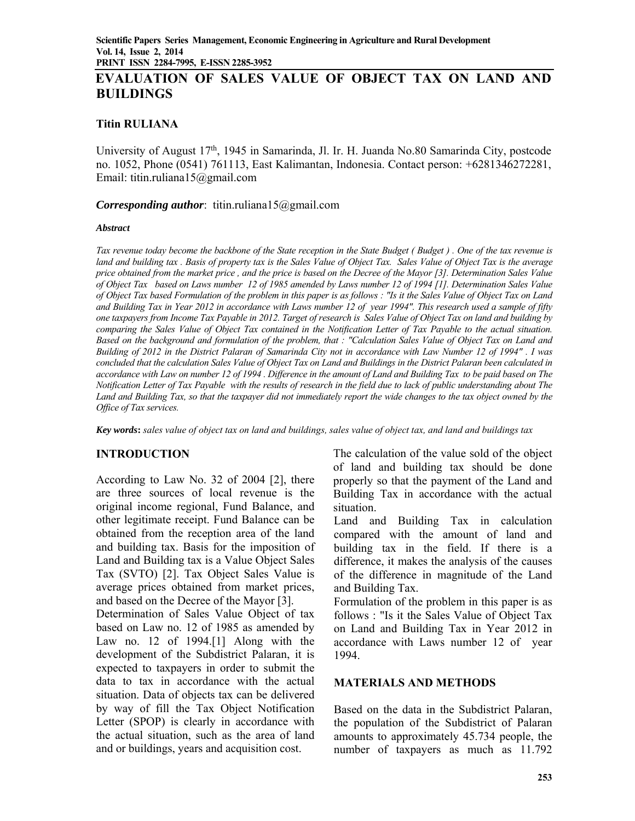# **EVALUATION OF SALES VALUE OF OBJECT TAX ON LAND AND BUILDINGS**

#### **Titin RULIANA**

University of August 17th, 1945 in Samarinda, Jl. Ir. H. Juanda No.80 Samarinda City, postcode no. 1052, Phone (0541) 761113, East Kalimantan, Indonesia. Contact person: +6281346272281, Email: titin.ruliana15@gmail.com

#### *Corresponding author*: titin.ruliana15@gmail.com

#### *Abstract*

*Tax revenue today become the backbone of the State reception in the State Budget ( Budget ) . One of the tax revenue is land and building tax . Basis of property tax is the Sales Value of Object Tax. Sales Value of Object Tax is the average price obtained from the market price , and the price is based on the Decree of the Mayor [3]. Determination Sales Value of Object Tax based on Laws number 12 of 1985 amended by Laws number 12 of 1994 [1]. Determination Sales Value of Object Tax based Formulation of the problem in this paper is as follows : "Is it the Sales Value of Object Tax on Land and Building Tax in Year 2012 in accordance with Laws number 12 of year 1994". This research used a sample of fifty one taxpayers from Income Tax Payable in 2012. Target of research is Sales Value of Object Tax on land and building by comparing the Sales Value of Object Tax contained in the Notification Letter of Tax Payable to the actual situation. Based on the background and formulation of the problem, that : "Calculation Sales Value of Object Tax on Land and Building of 2012 in the District Palaran of Samarinda City not in accordance with Law Number 12 of 1994" . I was concluded that the calculation Sales Value of Object Tax on Land and Buildings in the District Palaran been calculated in accordance with Law on number 12 of 1994 . Difference in the amount of Land and Building Tax to be paid based on The Notification Letter of Tax Payable with the results of research in the field due to lack of public understanding about The Land and Building Tax, so that the taxpayer did not immediately report the wide changes to the tax object owned by the Office of Tax services.* 

*Key words***:** *sales value of object tax on land and buildings, sales value of object tax, and land and buildings tax* 

## **INTRODUCTION**

According to Law No. 32 of 2004 [2], there are three sources of local revenue is the original income regional, Fund Balance, and other legitimate receipt. Fund Balance can be obtained from the reception area of the land and building tax. Basis for the imposition of Land and Building tax is a Value Object Sales Tax (SVTO) [2]. Tax Object Sales Value is average prices obtained from market prices, and based on the Decree of the Mayor [3].

Determination of Sales Value Object of tax based on Law no. 12 of 1985 as amended by Law no. 12 of 1994.[1] Along with the development of the Subdistrict Palaran, it is expected to taxpayers in order to submit the data to tax in accordance with the actual situation. Data of objects tax can be delivered by way of fill the Tax Object Notification Letter (SPOP) is clearly in accordance with the actual situation, such as the area of land and or buildings, years and acquisition cost.

The calculation of the value sold of the object of land and building tax should be done properly so that the payment of the Land and Building Tax in accordance with the actual situation.

Land and Building Tax in calculation compared with the amount of land and building tax in the field. If there is a difference, it makes the analysis of the causes of the difference in magnitude of the Land and Building Tax.

Formulation of the problem in this paper is as follows : "Is it the Sales Value of Object Tax on Land and Building Tax in Year 2012 in accordance with Laws number 12 of year 1994.

#### **MATERIALS AND METHODS**

Based on the data in the Subdistrict Palaran, the population of the Subdistrict of Palaran amounts to approximately 45.734 people, the number of taxpayers as much as 11.792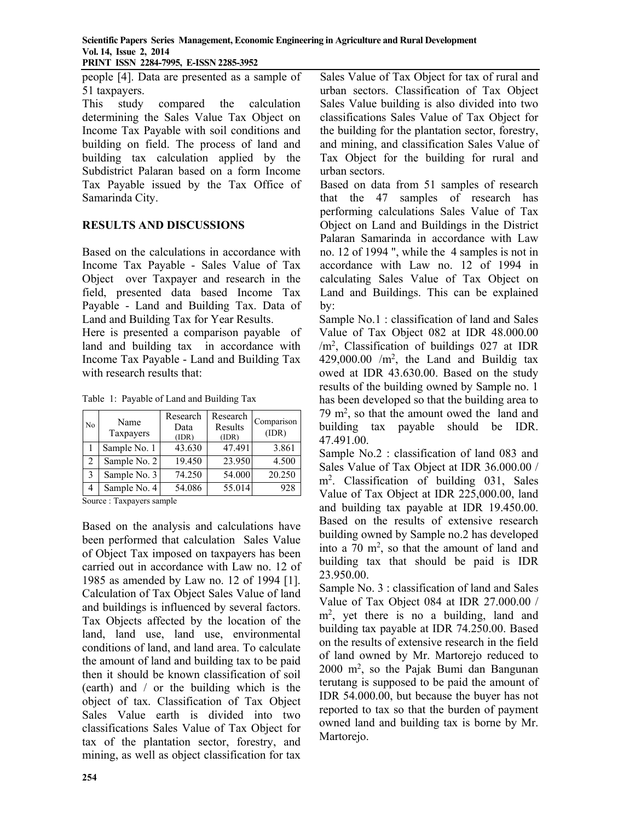**Scientific Papers Series Management, Economic Engineering in Agriculture and Rural Development Vol. 14, Issue 2, 2014 PRINT ISSN 2284-7995, E-ISSN 2285-3952** 

people [4]. Data are presented as a sample of 51 taxpayers.

This study compared the calculation determining the Sales Value Tax Object on Income Tax Payable with soil conditions and building on field. The process of land and building tax calculation applied by the Subdistrict Palaran based on a form Income Tax Payable issued by the Tax Office of Samarinda City.

## **RESULTS AND DISCUSSIONS**

Based on the calculations in accordance with Income Tax Payable - Sales Value of Tax Object over Taxpayer and research in the field, presented data based Income Tax Payable - Land and Building Tax. Data of Land and Building Tax for Year Results.

Here is presented a comparison payable of land and building tax in accordance with Income Tax Payable - Land and Building Tax with research results that:

|  | Table 1: Payable of Land and Building Tax |  |
|--|-------------------------------------------|--|
|  |                                           |  |

| No | Name<br>Taxpayers | Research<br>Data<br>(IDR) | Research<br>Results<br>(IDR) | Comparison<br>(IDR) |
|----|-------------------|---------------------------|------------------------------|---------------------|
|    | Sample No. 1      | 43.630                    | 47.491                       | 3.861               |
| 2  | Sample No. 2      | 19.450                    | 23.950                       | 4.500               |
| 3  | Sample No. 3      | 74.250                    | 54.000                       | 20.250              |
| 4  | Sample No. 4      | 54.086                    | 55.014                       | 928                 |

Source : Taxpayers sample

Based on the analysis and calculations have been performed that calculation Sales Value of Object Tax imposed on taxpayers has been carried out in accordance with Law no. 12 of 1985 as amended by Law no. 12 of 1994 [1]. Calculation of Tax Object Sales Value of land and buildings is influenced by several factors. Tax Objects affected by the location of the land, land use, land use, environmental conditions of land, and land area. To calculate the amount of land and building tax to be paid then it should be known classification of soil (earth) and / or the building which is the object of tax. Classification of Tax Object Sales Value earth is divided into two classifications Sales Value of Tax Object for tax of the plantation sector, forestry, and mining, as well as object classification for tax

Sales Value of Tax Object for tax of rural and urban sectors. Classification of Tax Object Sales Value building is also divided into two classifications Sales Value of Tax Object for the building for the plantation sector, forestry, and mining, and classification Sales Value of Tax Object for the building for rural and urban sectors.

Based on data from 51 samples of research that the 47 samples of research has performing calculations Sales Value of Tax Object on Land and Buildings in the District Palaran Samarinda in accordance with Law no. 12 of 1994 ", while the 4 samples is not in accordance with Law no. 12 of 1994 in calculating Sales Value of Tax Object on Land and Buildings. This can be explained by:

Sample No.1 : classification of land and Sales Value of Tax Object 082 at IDR 48.000.00 /m2, Classification of buildings 027 at IDR  $429,000.00$  /m<sup>2</sup>, the Land and Buildig tax owed at IDR 43.630.00. Based on the study results of the building owned by Sample no. 1 has been developed so that the building area to 79 m2, so that the amount owed the land and building tax payable should be IDR. 47.491.00.

Sample No.2 : classification of land 083 and Sales Value of Tax Object at IDR 36.000.00 / m2. Classification of building 031, Sales Value of Tax Object at IDR 225,000.00, land and building tax payable at IDR 19.450.00. Based on the results of extensive research building owned by Sample no.2 has developed into a  $70 \text{ m}^2$ , so that the amount of land and building tax that should be paid is IDR 23.950.00.

Sample No. 3 : classification of land and Sales Value of Tax Object 084 at IDR 27.000.00 / m<sup>2</sup>, yet there is no a building, land and building tax payable at IDR 74.250.00. Based on the results of extensive research in the field of land owned by Mr. Martorejo reduced to  $2000 \text{ m}^2$ , so the Pajak Bumi dan Bangunan terutang is supposed to be paid the amount of IDR 54.000.00, but because the buyer has not reported to tax so that the burden of payment owned land and building tax is borne by Mr. Martorejo.